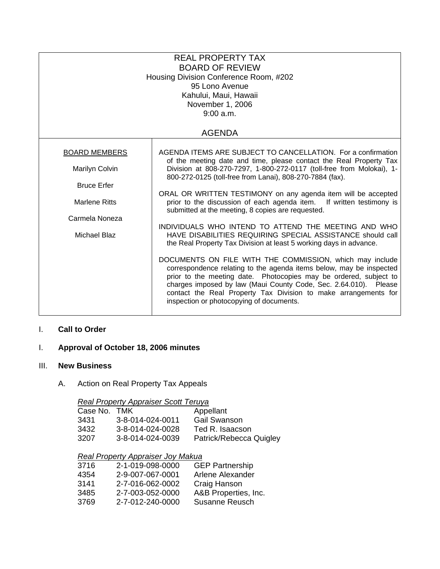| <b>REAL PROPERTY TAX</b><br><b>BOARD OF REVIEW</b><br>Housing Division Conference Room, #202<br>95 Lono Avenue<br>Kahului, Maui, Hawaii<br>November 1, 2006<br>9:00 a.m. |                                                                                                                                                                                                                                                                                                                                                                                         |  |  |  |  |
|--------------------------------------------------------------------------------------------------------------------------------------------------------------------------|-----------------------------------------------------------------------------------------------------------------------------------------------------------------------------------------------------------------------------------------------------------------------------------------------------------------------------------------------------------------------------------------|--|--|--|--|
| <b>AGENDA</b>                                                                                                                                                            |                                                                                                                                                                                                                                                                                                                                                                                         |  |  |  |  |
| <b>BOARD MEMBERS</b>                                                                                                                                                     | AGENDA ITEMS ARE SUBJECT TO CANCELLATION. For a confirmation                                                                                                                                                                                                                                                                                                                            |  |  |  |  |
| Marilyn Colvin                                                                                                                                                           | of the meeting date and time, please contact the Real Property Tax<br>Division at 808-270-7297, 1-800-272-0117 (toll-free from Molokai), 1-<br>800-272-0125 (toll-free from Lanai), 808-270-7884 (fax).                                                                                                                                                                                 |  |  |  |  |
| <b>Bruce Erfer</b>                                                                                                                                                       |                                                                                                                                                                                                                                                                                                                                                                                         |  |  |  |  |
| <b>Marlene Ritts</b><br>Carmela Noneza<br>Michael Blaz                                                                                                                   | ORAL OR WRITTEN TESTIMONY on any agenda item will be accepted<br>prior to the discussion of each agenda item. If written testimony is<br>submitted at the meeting, 8 copies are requested.                                                                                                                                                                                              |  |  |  |  |
|                                                                                                                                                                          | INDIVIDUALS WHO INTEND TO ATTEND THE MEETING AND WHO                                                                                                                                                                                                                                                                                                                                    |  |  |  |  |
|                                                                                                                                                                          | HAVE DISABILITIES REQUIRING SPECIAL ASSISTANCE should call<br>the Real Property Tax Division at least 5 working days in advance.                                                                                                                                                                                                                                                        |  |  |  |  |
|                                                                                                                                                                          | DOCUMENTS ON FILE WITH THE COMMISSION, which may include<br>correspondence relating to the agenda items below, may be inspected<br>prior to the meeting date. Photocopies may be ordered, subject to<br>charges imposed by law (Maui County Code, Sec. 2.64.010). Please<br>contact the Real Property Tax Division to make arrangements for<br>inspection or photocopying of documents. |  |  |  |  |

#### I. **Call to Order**

# I. **Approval of October 18, 2006 minutes**

#### III. **New Business**

A. Action on Real Property Tax Appeals

# *Real Property Appraiser Scott Teruya*

| Case No. TMK |                  | Appellant               |
|--------------|------------------|-------------------------|
| 3431         | 3-8-014-024-0011 | <b>Gail Swanson</b>     |
| 3432         | 3-8-014-024-0028 | Ted R. Isaacson         |
| 3207         | 3-8-014-024-0039 | Patrick/Rebecca Quigley |

# *Real Property Appraiser Joy Makua*

| 3716 | 2-1-019-098-0000 | <b>GEP Partnership</b> |
|------|------------------|------------------------|
| 4354 | 2-9-007-067-0001 | Arlene Alexander       |
| 3141 | 2-7-016-062-0002 | Craig Hanson           |
| 3485 | 2-7-003-052-0000 | A&B Properties, Inc.   |
| 3769 | 2-7-012-240-0000 | Susanne Reusch         |
|      |                  |                        |